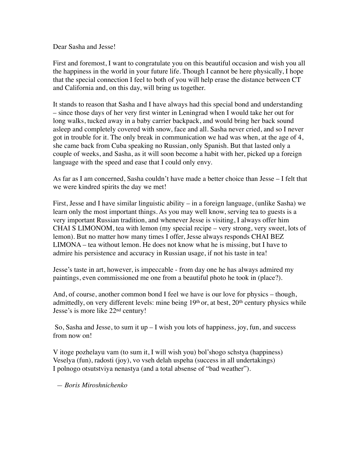Dear Sasha and Jesse!

First and foremost, I want to congratulate you on this beautiful occasion and wish you all the happiness in the world in your future life. Though I cannot be here physically, I hope that the special connection I feel to both of you will help erase the distance between CT and California and, on this day, will bring us together.

It stands to reason that Sasha and I have always had this special bond and understanding – since those days of her very first winter in Leningrad when I would take her out for long walks, tucked away in a baby carrier backpack, and would bring her back sound asleep and completely covered with snow, face and all. Sasha never cried, and so I never got in trouble for it. The only break in communication we had was when, at the age of 4, she came back from Cuba speaking no Russian, only Spanish. But that lasted only a couple of weeks, and Sasha, as it will soon become a habit with her, picked up a foreign language with the speed and ease that I could only envy.

As far as I am concerned, Sasha couldn't have made a better choice than Jesse – I felt that we were kindred spirits the day we met!

First, Jesse and I have similar linguistic ability – in a foreign language, (unlike Sasha) we learn only the most important things. As you may well know, serving tea to guests is a very important Russian tradition, and whenever Jesse is visiting, I always offer him CHAI S LIMONOM, tea with lemon (my special recipe – very strong, very sweet, lots of lemon). But no matter how many times I offer, Jesse always responds CHAI BEZ LIMONA – tea without lemon. He does not know what he is missing, but I have to admire his persistence and accuracy in Russian usage, if not his taste in tea!

Jesse's taste in art, however, is impeccable - from day one he has always admired my paintings, even commissioned me one from a beautiful photo he took in (place?).

And, of course, another common bond I feel we have is our love for physics – though, admittedly, on very different levels: mine being 19<sup>th</sup> or, at best, 20<sup>th</sup> century physics while Jesse's is more like 22nd century!

So, Sasha and Jesse, to sum it up  $-I$  wish you lots of happiness, joy, fun, and success from now on!

V itoge pozhelayu vam (to sum it, I will wish you) bol'shogo schstya (happiness) Veselya (fun), radosti (joy), vo vseh delah uspeha (success in all undertakings) I polnogo otsutstviya nenastya (and a total absense of "bad weather").

 *— Boris Miroshnichenko*